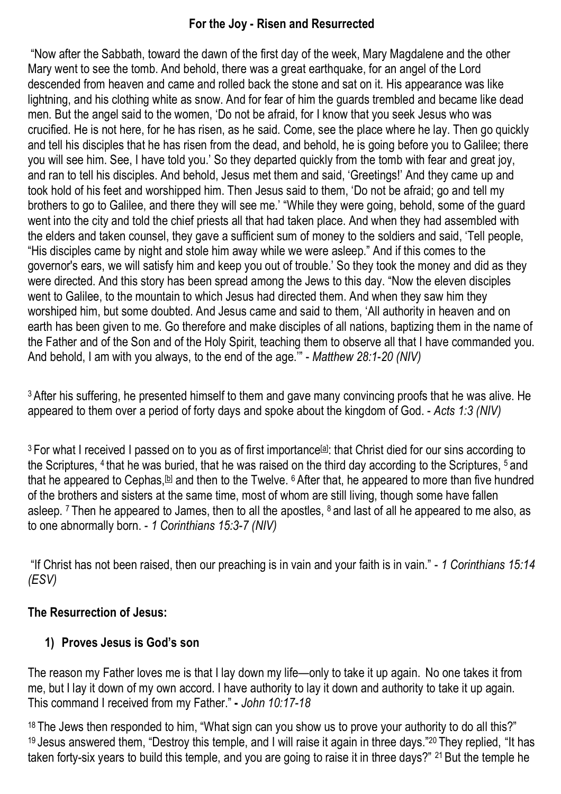### **For the Joy - Risen and Resurrected**

"Now after the Sabbath, toward the dawn of the first day of the week, Mary Magdalene and the other Mary went to see the tomb. And behold, there was a great earthquake, for an angel of the Lord descended from heaven and came and rolled back the stone and sat on it. His appearance was like lightning, and his clothing white as snow. And for fear of him the guards trembled and became like dead men. But the angel said to the women, 'Do not be afraid, for I know that you seek Jesus who was crucified. He is not here, for he has risen, as he said. Come, see the place where he lay. Then go quickly and tell his disciples that he has risen from the dead, and behold, he is going before you to Galilee; there you will see him. See, I have told you.' So they departed quickly from the tomb with fear and great joy, and ran to tell his disciples. And behold, Jesus met them and said, 'Greetings!' And they came up and took hold of his feet and worshipped him. Then Jesus said to them, 'Do not be afraid; go and tell my brothers to go to Galilee, and there they will see me.' "While they were going, behold, some of the guard went into the city and told the chief priests all that had taken place. And when they had assembled with the elders and taken counsel, they gave a sufficient sum of money to the soldiers and said, 'Tell people, "His disciples came by night and stole him away while we were asleep." And if this comes to the governor's ears, we will satisfy him and keep you out of trouble.' So they took the money and did as they were directed. And this story has been spread among the Jews to this day. "Now the eleven disciples went to Galilee, to the mountain to which Jesus had directed them. And when they saw him they worshiped him, but some doubted. And Jesus came and said to them, 'All authority in heaven and on earth has been given to me. Go therefore and make disciples of all nations, baptizing them in the name of the Father and of the Son and of the Holy Spirit, teaching them to observe all that I have commanded you. And behold, I am with you always, to the end of the age.'" - *Matthew 28:1-20 (NIV)*

<sup>3</sup> After his suffering, he presented himself to them and gave many convincing proofs that he was alive. He appeared to them over a period of forty days and spoke about the kingdom of God. - *Acts 1:3 (NIV)*

<sup>3</sup> For what I received I passed on to you as of first importance<sup>[a]</sup>: that Christ died for our sins according to the Scriptures, <sup>4</sup> that he was buried, that he was raised on the third day according to the Scriptures, <sup>5</sup> and that he appeared to Cephas, [b] and then to the Twelve. <sup>6</sup> After that, he appeared to more than five hundred of the brothers and sisters at the same time, most of whom are still living, though some have fallen asleep. <sup>7</sup> Then he appeared to James, then to all the apostles, <sup>8</sup> and last of all he appeared to me also, as to one abnormally born. - *1 Corinthians 15:3-7 (NIV)*

"If Christ has not been raised, then our preaching is in vain and your faith is in vain." - *1 Corinthians 15:14 (ESV)*

#### **The Resurrection of Jesus:**

#### **1) Proves Jesus is God's son**

The reason my Father loves me is that I lay down my life—only to take it up again. No one takes it from me, but I lay it down of my own accord. I have authority to lay it down and authority to take it up again. This command I received from my Father." **-** *John 10:17-18*

<sup>18</sup> The Jews then responded to him, "What sign can you show us to prove your authority to do all this?" <sup>19</sup> Jesus answered them, "Destroy this temple, and I will raise it again in three days."20 They replied, "It has taken forty-six years to build this temple, and you are going to raise it in three days?" <sup>21</sup> But the temple he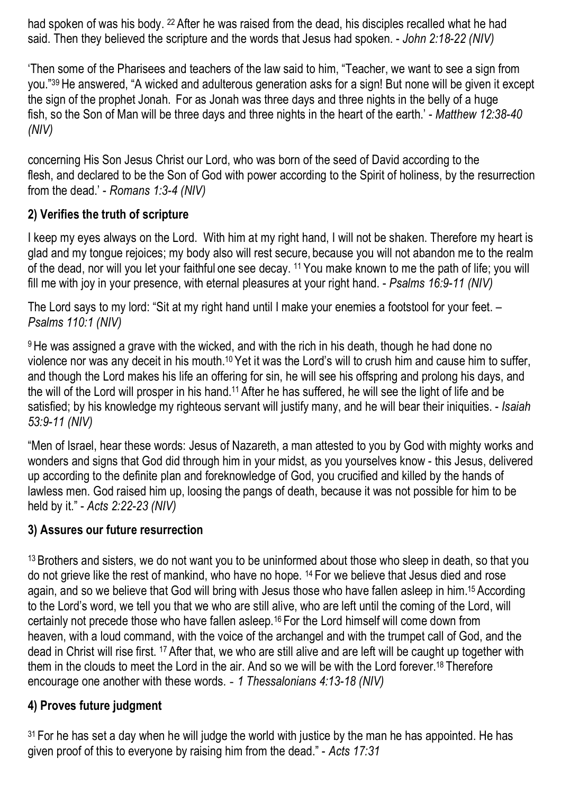had spoken of was his body. <sup>22</sup> After he was raised from the dead, his disciples recalled what he had said. Then they believed the scripture and the words that Jesus had spoken. - *John 2:18-22 (NIV)*

'Then some of the Pharisees and teachers of the law said to him, "Teacher, we want to see a sign from you."39 He answered, "A wicked and adulterous generation asks for a sign! But none will be given it except the sign of the prophet Jonah. For as Jonah was three days and three nights in the belly of a huge fish, so the Son of Man will be three days and three nights in the heart of the earth.' - *Matthew 12:38-40 (NIV)*

concerning His Son Jesus Christ our Lord, who was born of the seed of David according to the flesh, and declared to be the Son of God with power according to the Spirit of holiness, by the resurrection from the dead.' - *Romans 1:3-4 (NIV)*

### **2) Verifies the truth of scripture**

I keep my eyes always on the Lord. With him at my right hand, I will not be shaken. Therefore my heart is glad and my tongue rejoices; my body also will rest secure, because you will not abandon me to the realm of the dead, nor will you let your faithful one see decay. <sup>11</sup> You make known to me the path of life; you will fill me with joy in your presence, with eternal pleasures at your right hand. - *Psalms 16:9-11 (NIV)*

The Lord says to my lord: "Sit at my right hand until I make your enemies a footstool for your feet. – *Psalms 110:1 (NIV)*

<sup>9</sup> He was assigned a grave with the wicked, and with the rich in his death, though he had done no violence nor was any deceit in his mouth.10 Yet it was the Lord's will to crush him and cause him to suffer, and though the Lord makes his life an offering for sin, he will see his offspring and prolong his days, and the will of the Lord will prosper in his hand.11 After he has suffered, he will see the light of life and be satisfied; by his knowledge my righteous servant will justify many, and he will bear their iniquities. - *Isaiah 53:9-11 (NIV)*

"Men of Israel, hear these words: Jesus of Nazareth, a man attested to you by God with mighty works and wonders and signs that God did through him in your midst, as you yourselves know - this Jesus, delivered up according to the definite plan and foreknowledge of God, you crucified and killed by the hands of lawless men. God raised him up, loosing the pangs of death, because it was not possible for him to be held by it." - *Acts 2:22-23 (NIV)*

#### **3) Assures our future resurrection**

<sup>13</sup> Brothers and sisters, we do not want you to be uninformed about those who sleep in death, so that you do not grieve like the rest of mankind, who have no hope. <sup>14</sup> For we believe that Jesus died and rose again, and so we believe that God will bring with Jesus those who have fallen asleep in him.15 According to the Lord's word, we tell you that we who are still alive, who are left until the coming of the Lord, will certainly not precede those who have fallen asleep.16 For the Lord himself will come down from heaven, with a loud command, with the voice of the archangel and with the trumpet call of God, and the dead in Christ will rise first. <sup>17</sup> After that, we who are still alive and are left will be caught up together with them in the clouds to meet the Lord in the air. And so we will be with the Lord forever.18 Therefore encourage one another with these words. - *1 Thessalonians 4:13-18 (NIV)*

#### **4) Proves future judgment**

 $31$  For he has set a day when he will judge the world with justice by the man he has appointed. He has given proof of this to everyone by raising him from the dead." - *Acts 17:31*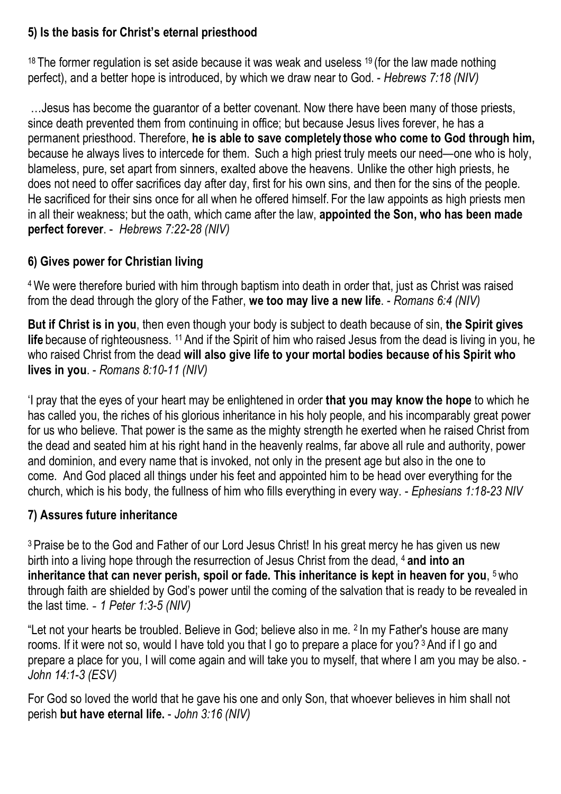## **5) Is the basis for Christ's eternal priesthood**

 $18$  The former regulation is set aside because it was weak and useless  $19$  (for the law made nothing perfect), and a better hope is introduced, by which we draw near to God. - *Hebrews 7:18 (NIV)*

…Jesus has become the guarantor of a better covenant. Now there have been many of those priests, since death prevented them from continuing in office; but because Jesus lives forever, he has a permanent priesthood. Therefore, **he is able to save completely those who come to God through him,**  because he always lives to intercede for them. Such a high priest truly meets our need—one who is holy, blameless, pure, set apart from sinners, exalted above the heavens. Unlike the other high priests, he does not need to offer sacrifices day after day, first for his own sins, and then for the sins of the people. He sacrificed for their sins once for all when he offered himself. For the law appoints as high priests men in all their weakness; but the oath, which came after the law, **appointed the Son, who has been made perfect forever**. - *Hebrews 7:22-28 (NIV)*

# **6) Gives power for Christian living**

4We were therefore buried with him through baptism into death in order that, just as Christ was raised from the dead through the glory of the Father, **we too may live a new life**. - *Romans 6:4 (NIV)*

**But if Christ is in you**, then even though your body is subject to death because of sin, **the Spirit gives life** because of righteousness. <sup>11</sup> And if the Spirit of him who raised Jesus from the dead is living in you, he who raised Christ from the dead **will also give life to your mortal bodies because of his Spirit who lives in you**. - *Romans 8:10-11 (NIV)*

'I pray that the eyes of your heart may be enlightened in order **that you may know the hope** to which he has called you, the riches of his glorious inheritance in his holy people, and his incomparably great power for us who believe. That power is the same as the mighty strength he exerted when he raised Christ from the dead and seated him at his right hand in the heavenly realms, far above all rule and authority, power and dominion, and every name that is invoked, not only in the present age but also in the one to come. And God placed all things under his feet and appointed him to be head over everything for the church, which is his body, the fullness of him who fills everything in every way. - *Ephesians 1:18-23 NIV*

# **7) Assures future inheritance**

<sup>3</sup> Praise be to the God and Father of our Lord Jesus Christ! In his great mercy he has given us new birth into a living hope through the resurrection of Jesus Christ from the dead, <sup>4</sup> **and into an inheritance that can never perish, spoil or fade. This inheritance is kept in heaven for you, <sup>5</sup> who** through faith are shielded by God's power until the coming of the salvation that is ready to be revealed in the last time. - *1 Peter 1:3-5 (NIV)*

"Let not your hearts be troubled. Believe in God; believe also in me. <sup>2</sup> In my Father's house are many rooms. If it were not so, would I have told you that I go to prepare a place for you?<sup>3</sup> And if I go and prepare a place for you, I will come again and will take you to myself, that where I am you may be also. - *John 14:1-3 (ESV)*

For God so loved the world that he gave his one and only Son, that whoever believes in him shall not perish **but have eternal life.** - *John 3:16 (NIV)*